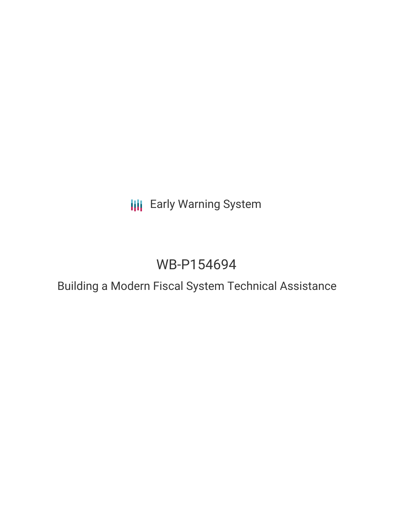## **III** Early Warning System

# WB-P154694

### Building a Modern Fiscal System Technical Assistance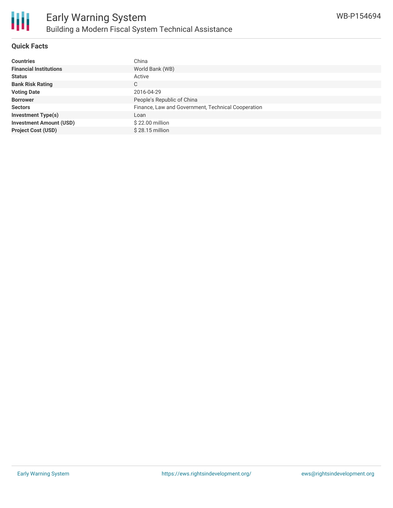

#### **Quick Facts**

| <b>Countries</b>               | China                                              |
|--------------------------------|----------------------------------------------------|
| <b>Financial Institutions</b>  | World Bank (WB)                                    |
| <b>Status</b>                  | Active                                             |
| <b>Bank Risk Rating</b>        | C                                                  |
| <b>Voting Date</b>             | 2016-04-29                                         |
| <b>Borrower</b>                | People's Republic of China                         |
| <b>Sectors</b>                 | Finance, Law and Government, Technical Cooperation |
| <b>Investment Type(s)</b>      | Loan                                               |
| <b>Investment Amount (USD)</b> | \$22.00 million                                    |
| <b>Project Cost (USD)</b>      | \$28.15 million                                    |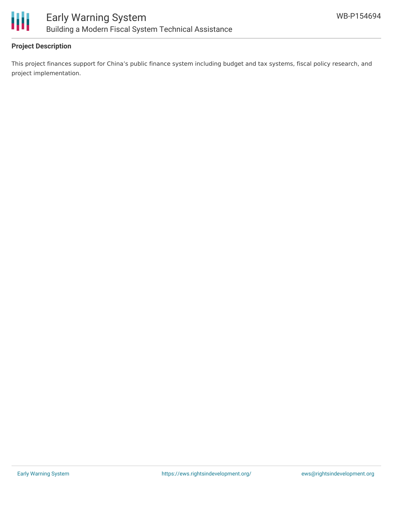

#### **Project Description**

This project finances support for China's public finance system including budget and tax systems, fiscal policy research, and project implementation.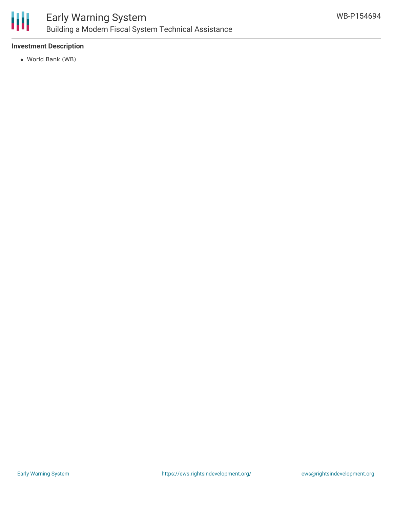

#### **Investment Description**

World Bank (WB)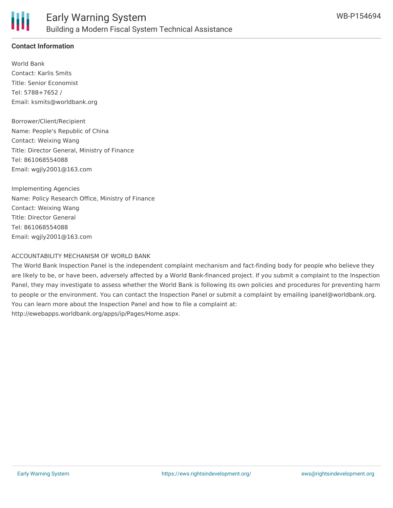

#### **Contact Information**

World Bank Contact: Karlis Smits Title: Senior Economist Tel: 5788+7652 / Email: ksmits@worldbank.org

Borrower/Client/Recipient Name: People's Republic of China Contact: Weixing Wang Title: Director General, Ministry of Finance Tel: 861068554088 Email: wgjly2001@163.com

Implementing Agencies Name: Policy Research Office, Ministry of Finance Contact: Weixing Wang Title: Director General Tel: 861068554088 Email: wgjly2001@163.com

#### ACCOUNTABILITY MECHANISM OF WORLD BANK

The World Bank Inspection Panel is the independent complaint mechanism and fact-finding body for people who believe they are likely to be, or have been, adversely affected by a World Bank-financed project. If you submit a complaint to the Inspection Panel, they may investigate to assess whether the World Bank is following its own policies and procedures for preventing harm to people or the environment. You can contact the Inspection Panel or submit a complaint by emailing ipanel@worldbank.org. You can learn more about the Inspection Panel and how to file a complaint at: http://ewebapps.worldbank.org/apps/ip/Pages/Home.aspx.